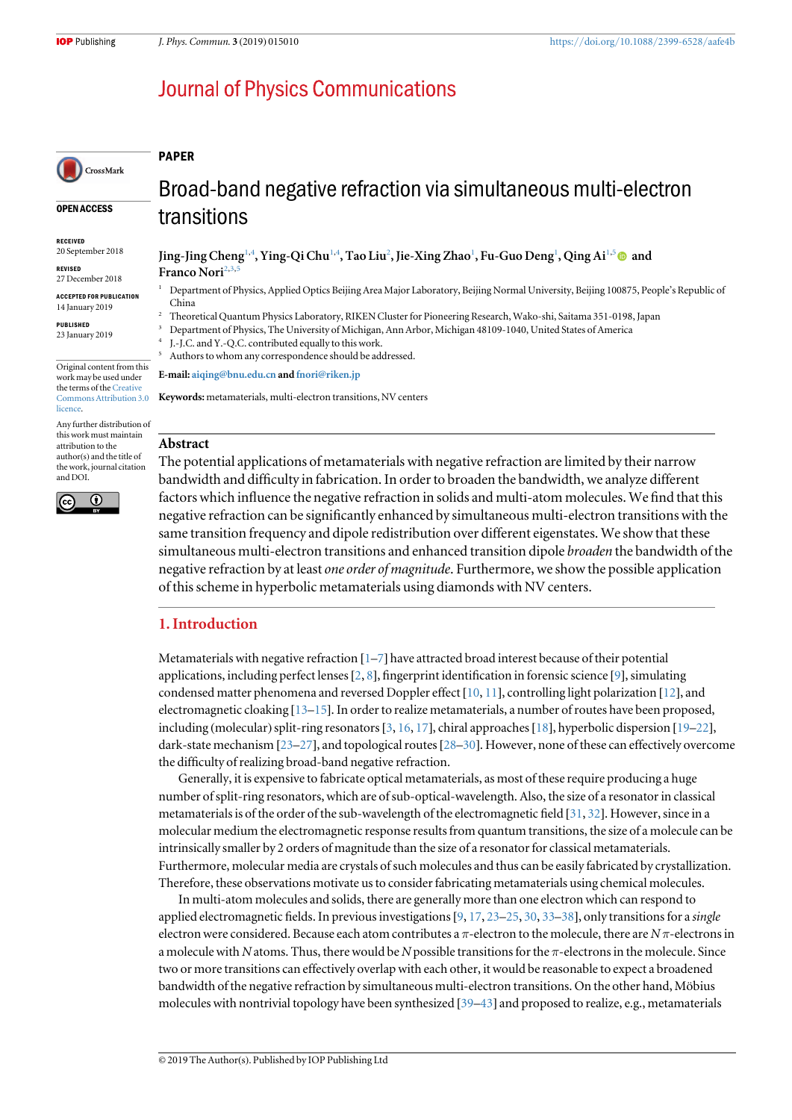# **Journal of Physics Communications**

## PAPER

CrossMark

#### OPEN ACCESS

RECEIVED 20 September 2018

REVISED 27 December 2018

ACCEPTED FOR PUBLICATION 14 January 2019

PUBLISHED 23 January 2019

**licence** 

Original content from this work may be used under the terms of the [Creative](http://creativecommons.org/licenses/by/3.0) [Commons Attribution 3.0](http://creativecommons.org/licenses/by/3.0)

Any further distribution of this work must maintain attribution to the author(s) and the title of the work, journal citation and DOI.



Broad-band negative refraction via simultaneous multi-electron transitions

# Jing-Jing Cheng<sup>1,4</sup>, Ying-Qi Chu<sup>1,4</sup>, Tao Liu<sup>2</sup>, Jie-Xing Zhao<sup>1</sup>, Fu-Guo Deng<sup>1</sup>, Qing Ai<sup>1,5</sup> © and Franco Nori<sup>2,3</sup>

- <sup>1</sup> Department of Physics, Applied Optics Beijing Area Major Laboratory, Beijing Normal University, Beijing 100875, People's Republic of China
- <sup>2</sup> Theoretical Quantum Physics Laboratory, RIKEN Cluster for Pioneering Research, Wako-shi, Saitama 351-0198, Japan
- <sup>3</sup> Department of Physics, The University of Michigan, Ann Arbor, Michigan 48109-1040, United States of America
- J.-J.C. and Y.-Q.C. contributed equally to this work.
- Authors to whom any correspondence should be addressed.

E-mail: [aiqing@bnu.edu.cn](mailto:aiqing@bnu.edu.cn) and [fnori@riken.jp](mailto:fnori@riken.jp)

Keywords: metamaterials, multi-electron transitions, NV centers

# Abstract

The potential applications of metamaterials with negative refraction are limited by their narrow bandwidth and difficulty in fabrication. In order to broaden the bandwidth, we analyze different factors which influence the negative refraction in solids and multi-atom molecules. We find that this negative refraction can be significantly enhanced by simultaneous multi-electron transitions with the same transition frequency and dipole redistribution over different eigenstates. We show that these simultaneous multi-electron transitions and enhanced transition dipole *broaden* the bandwidth of the negative refraction by at least *one order of magnitude*. Furthermore, we show the possible application of this scheme in hyperbolic metamaterials using diamonds with NV centers.

# 1. Introduction

Metamaterials with negative refraction [[1](#page-10-0)–[7](#page-10-0)] have attracted broad interest because of their potential applications, including perfect lenses[[2,](#page-10-0) [8](#page-10-0)], fingerprint identification in forensic science [[9](#page-11-0)], simulating condensed matter phenomena and reversed Doppler effect [[10,](#page-11-0) [11](#page-11-0)], controlling light polarization [[12](#page-11-0)], and electromagnetic cloaking [[13](#page-11-0)–[15](#page-11-0)]. In order to realize metamaterials, a number of routes have been proposed, including (molecular) split-ring resonators [[3](#page-10-0), [16,](#page-11-0) [17](#page-11-0)], chiral approaches [[18](#page-11-0)], hyperbolic dispersion [[19](#page-11-0)–[22](#page-11-0)], dark-state mechanism [[23](#page-11-0)–[27](#page-11-0)], and topological routes [[28](#page-11-0)–[30](#page-11-0)]. However, none of these can effectively overcome the difficulty of realizing broad-band negative refraction.

Generally, it is expensive to fabricate optical metamaterials, as most of these require producing a huge number of split-ring resonators, which are of sub-optical-wavelength. Also, the size of a resonator in classical metamaterials is of the order of the sub-wavelength of the electromagnetic field [[31](#page-11-0), [32](#page-11-0)]. However, since in a molecular medium the electromagnetic response results from quantum transitions, the size of a molecule can be intrinsically smaller by 2 orders of magnitude than the size of a resonator for classical metamaterials. Furthermore, molecular media are crystals of such molecules and thus can be easily fabricated by crystallization. Therefore, these observations motivate us to consider fabricating metamaterials using chemical molecules.

In multi-atom molecules and solids, there are generally more than one electron which can respond to applied electromagnetic fields. In previous investigations  $[9, 17, 23-25, 30, 33-38]$  $[9, 17, 23-25, 30, 33-38]$  $[9, 17, 23-25, 30, 33-38]$  $[9, 17, 23-25, 30, 33-38]$  $[9, 17, 23-25, 30, 33-38]$  $[9, 17, 23-25, 30, 33-38]$  $[9, 17, 23-25, 30, 33-38]$  $[9, 17, 23-25, 30, 33-38]$  $[9, 17, 23-25, 30, 33-38]$  $[9, 17, 23-25, 30, 33-38]$  $[9, 17, 23-25, 30, 33-38]$  $[9, 17, 23-25, 30, 33-38]$  $[9, 17, 23-25, 30, 33-38]$  $[9, 17, 23-25, 30, 33-38]$  $[9, 17, 23-25, 30, 33-38]$ , only transitions for a single electron were considered. Because each atom contributes a  $\pi$ -electron to the molecule, there are N $\pi$ -electrons in a molecule with N atoms. Thus, there would be N possible transitions for the  $\pi$ -electrons in the molecule. Since two or more transitions can effectively overlap with each other, it would be reasonable to expect a broadened bandwidth of the negative refraction by simultaneous multi-electron transitions. On the other hand, Möbius molecules with nontrivial topology have been synthesized [[39](#page-11-0)–[43](#page-11-0)] and proposed to realize, e.g., metamaterials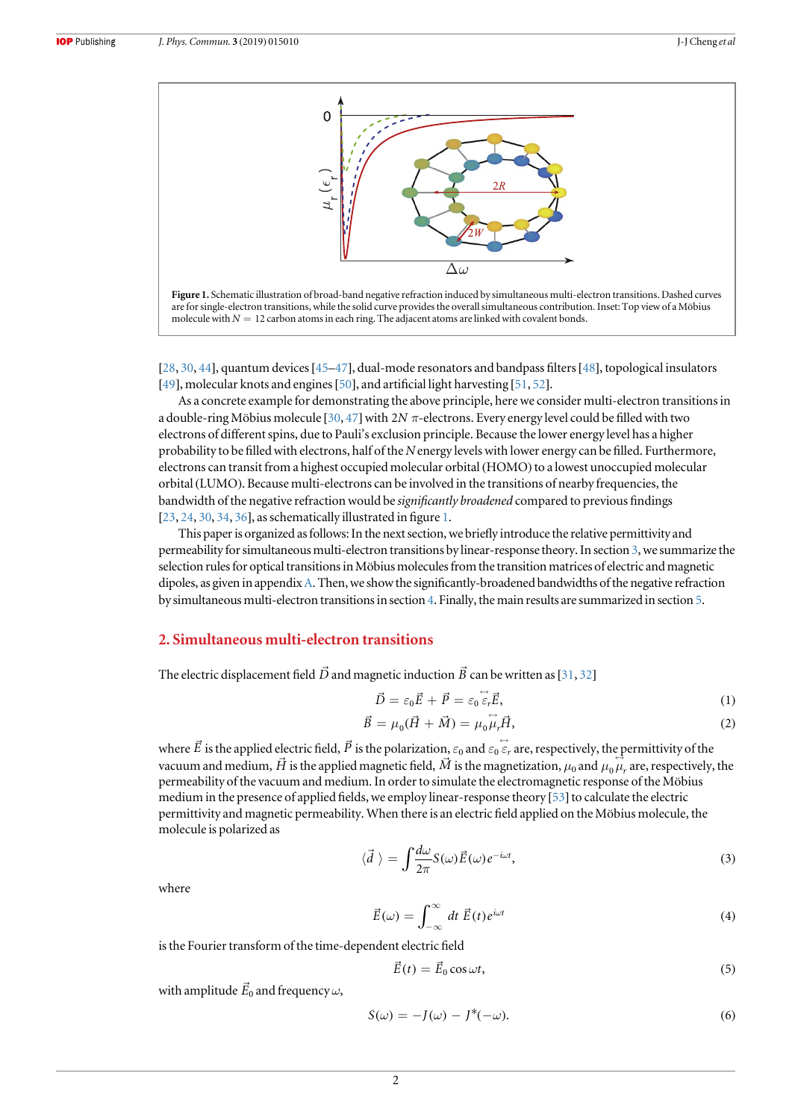<span id="page-1-0"></span>

[[28,](#page-11-0) [30](#page-11-0), [44](#page-11-0)], quantum devices[[45](#page-11-0)–[47](#page-11-0)], dual-mode resonators and bandpass filters[[48](#page-11-0)], topological insulators [[49](#page-11-0)], molecular knots and engines [[50](#page-11-0)], and artificial light harvesting [[51,](#page-11-0) [52](#page-11-0)].

As a concrete example for demonstrating the above principle, here we consider multi-electron transitions in a double-ring Möbius molecule [[30,](#page-11-0) [47](#page-11-0)]with 2*N* π-electrons. Every energy level could be filled with two electrons of different spins, due to Pauli's exclusion principle. Because the lower energy level has a higher probability to be filled with electrons, half of the N energy levels with lower energy can be filled. Furthermore, electrons can transit from a highest occupied molecular orbital (HOMO) to a lowest unoccupied molecular orbital(LUMO). Because multi-electrons can be involved in the transitions of nearby frequencies, the bandwidth of the negative refraction would be significantly broadened compared to previous findings [[23,](#page-11-0) [24](#page-11-0), [30,](#page-11-0) [34,](#page-11-0) [36](#page-11-0)], as schematically illustrated in figure 1.

This paper is organized asfollows: In the next section, we briefly introduce the relative permittivity and permeability for simultaneous multi-electron transitions by linear-response theory. In section [3,](#page-2-0) we summarize the selection rules for optical transitions in Möbius molecules from the transition matrices of electric and magnetic dipoles, as given in appendix [A.](#page-8-0) Then, we show the significantly-broadened bandwidths of the negative refraction by simultaneous multi-electron transitions in section [4](#page-4-0). Finally, the main results are summarized in section [5.](#page-7-0)

# 2. Simultaneous multi-electron transitions

The electric displacement field  $\vec{D}$  and magnetic induction  $\vec{B}$  can be written as [[31,](#page-11-0) [32](#page-11-0)]

$$
\vec{D} = \varepsilon_0 \vec{E} + \vec{P} = \varepsilon_0 \dot{\vec{\varepsilon}}_r \vec{E},\tag{1}
$$

$$
\vec{B} = \mu_0(\vec{H} + \vec{M}) = \mu_0 \dot{\vec{\mu}}_r \vec{H}, \tag{2}
$$

where  $\vec{E}$  is the applied electric field,  $\vec{P}$  is the polarization,  $\varepsilon_0$  and  $\varepsilon_0 \in \vec{\varepsilon}_r$  are, respectively, the permittivity of the where *E* is the applied electric field, *P* is the polarization,  $\varepsilon_0$  and  $\varepsilon_0$   $\varepsilon_r$  are, respectively, the permittivity of the vacuum and medium,  $\vec{H}$  is the applied magnetic field,  $\vec{M}$  is the magnetizatio permeability of the vacuum and medium. In order to simulate the electromagnetic response of the Möbius medium in the presence of applied fields, we employ linear-response theory [[53](#page-12-0)] to calculate the electric permittivity and magnetic permeability. When there is an electric field applied on the Möbius molecule, the molecule is polarized as

$$
\langle \vec{d} \rangle = \int \frac{d\omega}{2\pi} S(\omega) \vec{E}(\omega) e^{-i\omega t}, \tag{3}
$$

where

$$
\vec{E}(\omega) = \int_{-\infty}^{\infty} dt \; \vec{E}(t) e^{i\omega t}
$$
 (4)

is the Fourier transform of the time-dependent electric field

$$
\vec{E}(t) = \vec{E}_0 \cos \omega t, \tag{5}
$$

with amplitude  $\vec{E}_0$  and frequency  $\omega,$ 

$$
S(\omega) = -J(\omega) - J^*(-\omega). \tag{6}
$$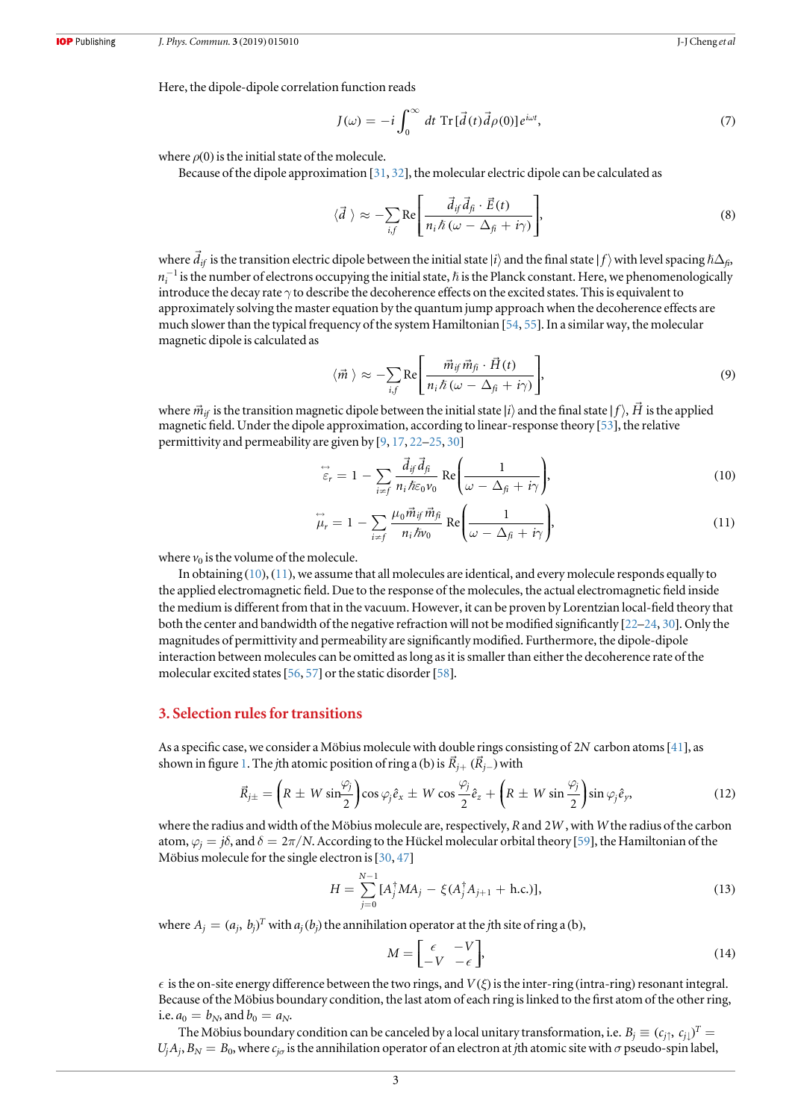<span id="page-2-0"></span>Here, the dipole-dipole correlation function reads

$$
J(\omega) = -i \int_0^{\infty} dt \operatorname{Tr}[\vec{d}(t)\vec{d}\rho(0)]e^{i\omega t}, \qquad (7)
$$

where  $\rho(0)$  is the initial state of the molecule.

Because of the dipole approximation [[31](#page-11-0), [32](#page-11-0)], the molecular electric dipole can be calculated as

$$
\langle \vec{d} \rangle \approx -\sum_{i,f} \text{Re}\Bigg[\frac{\vec{d}_{if} \vec{d}_{fi} \cdot \vec{E}(t)}{n_i \hslash (\omega - \Delta_{fi} + i\gamma)}\Bigg],\tag{8}
$$

where  $\vec{d}_{if}$  is the transition electric dipole between the initial state  $|i\rangle$  and the final state  $|f\rangle$  with level spacing  $\hbar\Delta_{fi}$ ,  $n_i^{-1}$  is the number of electrons occupying the initial state,  $\hbar$  is the Plan introduce the decay rate  $\gamma$  to describe the decoherence effects on the excited states. This is equivalent to approximately solving the master equation by the quantum jump approach when the decoherence effects are much slower than the typical frequency of the system Hamiltonian [[54](#page-12-0), [55](#page-12-0)]. In a similar way, the molecular magnetic dipole is calculated as

$$
\langle \vec{m} \rangle \approx -\sum_{i,f} \text{Re}\Bigg[\frac{\vec{m}_{if} \vec{m}_{fi} \cdot \vec{H}(t)}{n_i \hslash (\omega - \Delta_{fi} + i\gamma)}\Bigg],\tag{9}
$$

where  $\vec{m}_{if}$  is the transition magnetic dipole between the initial state |*i*} and the final state |*f* },  $\vec{H}$ *H* is the applied magnetic field. Under the dipole approximation, according to linear-response theory [[53](#page-12-0)], the relative permittivity and permeability are given by [[9,](#page-11-0) [17](#page-11-0), [22](#page-11-0)–[25](#page-11-0), [30](#page-11-0)]

$$
\overleftrightarrow{\varepsilon}_r = 1 - \sum_{i \neq f} \frac{\overrightarrow{d}_{if} \overrightarrow{d}_{f}}{n_i \hbar \varepsilon_0 \nu_0} \text{Re} \left( \frac{1}{\omega - \Delta_{fi} + i\gamma} \right),\tag{10}
$$

$$
\overleftrightarrow{\mu}_r = 1 - \sum_{i \neq f} \frac{\mu_0 \vec{m}_{if} \vec{m}_{fi}}{n_i \hbar v_0} \text{Re}\left(\frac{1}{\omega - \Delta_{fi} + i\gamma}\right),\tag{11}
$$

where  $v_0$  is the volume of the molecule.

In obtaining (10), (11), we assume that all molecules are identical, and every molecule responds equally to the applied electromagnetic field. Due to the response of the molecules, the actual electromagnetic field inside the medium is different from that in the vacuum. However, it can be proven by Lorentzian local-field theory that both the center and bandwidth of the negative refraction will not be modified significantly [[22](#page-11-0)–[24](#page-11-0), [30](#page-11-0)]. Only the magnitudes of permittivity and permeability are significantly modified. Furthermore, the dipole-dipole interaction between molecules can be omitted as long as it is smaller than either the decoherence rate of the molecular excited states [[56,](#page-12-0) [57](#page-12-0)] or the static disorder [[58](#page-12-0)].

## 3. Selection rules for transitions

As a specific case, we consider a Möbius molecule with double rings consisting of 2*N* carbon atoms[[41](#page-11-0)], as shown in figure [1.](#page-1-0) The *j*th atomic position of ring a (b) is  $\vec{R}_{j+}$   $(\vec{R}_{j-})$  with

$$
\vec{R}_{j\pm} = \left(R \pm W \sin \frac{\varphi_j}{2}\right) \cos \varphi_j \hat{e}_x \pm W \cos \frac{\varphi_j}{2} \hat{e}_z + \left(R \pm W \sin \frac{\varphi_j}{2}\right) \sin \varphi_j \hat{e}_y, \tag{12}
$$

where the radius and width of the Möbius molecule are, respectively, R and 2*W* , with W the radius of the carbon atom,  $\varphi_i = j\delta$ , and  $\delta = 2\pi/N$ . According to the Hückel molecular orbital theory [[59](#page-12-0)], the Hamiltonian of the Möbius molecule for the single electron is  $[30, 47]$  $[30, 47]$  $[30, 47]$  $[30, 47]$  $[30, 47]$ 

$$
H = \sum_{j=0}^{N-1} [A_j^{\dagger} M A_j - \xi (A_j^{\dagger} A_{j+1} + \text{h.c.})],
$$
\n(13)

where  $A_j = (a_j, b_j)^T$  with  $a_j(b_j)$  the annihilation operator at the *j*th site of ring a (b),

$$
M = \begin{bmatrix} \epsilon & -V \\ -V & -\epsilon \end{bmatrix},\tag{14}
$$

 $\epsilon$  is the on-site energy difference between the two rings, and  $V(\xi)$  is the inter-ring (intra-ring) resonant integral. Because of the Möbius boundary condition, the last atom of each ring is linked to the first atom of the other ring, i.e.  $a_0 = b_N$ , and  $b_0 = a_N$ .

The Möbius boundary condition can be canceled by a local unitary transformation, i.e.  $B_j \equiv (c_{j\uparrow}, \, c_{j\downarrow})^T =$  $U_i A_i$ ,  $B_N = B_0$ , where  $c_{i\sigma}$  is the annihilation operator of an electron at *j*th atomic site with  $\sigma$  pseudo-spin label,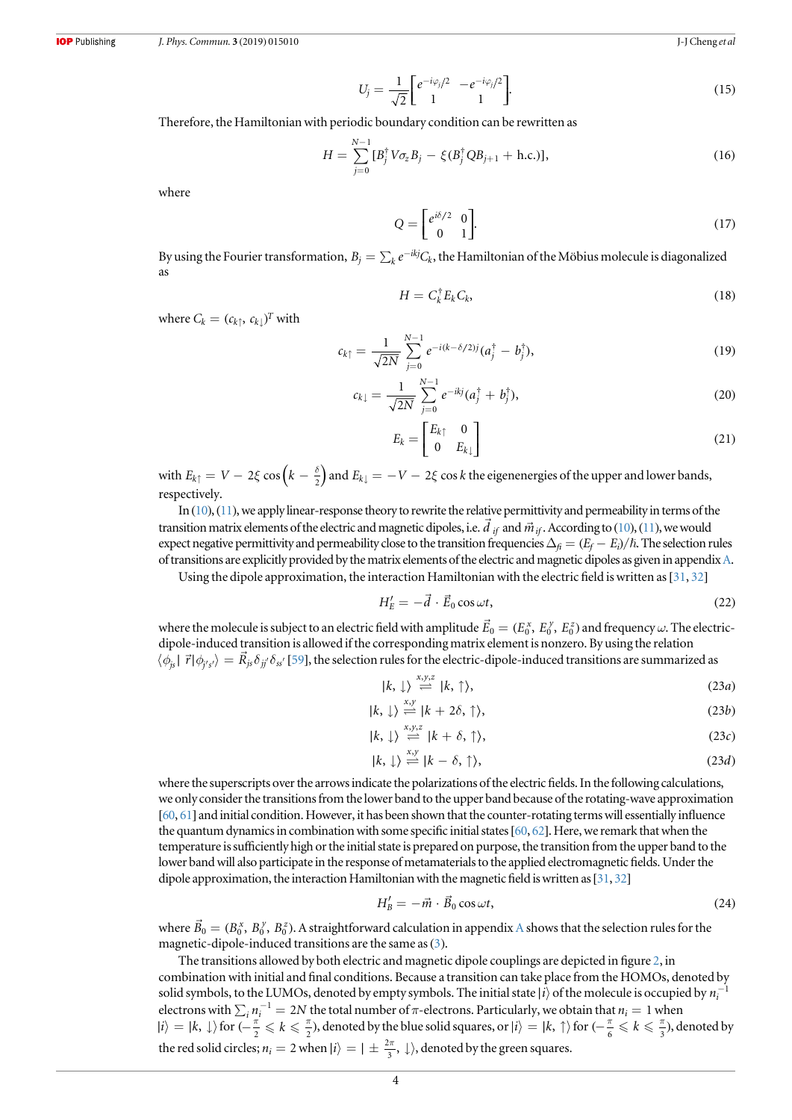$$
U_j = \frac{1}{\sqrt{2}} \begin{bmatrix} e^{-i\varphi_j/2} & -e^{-i\varphi_j/2} \\ 1 & 1 \end{bmatrix} . \tag{15}
$$

<span id="page-3-0"></span>Therefore, the Hamiltonian with periodic boundary condition can be rewritten as

$$
H = \sum_{j=0}^{N-1} [B_j^{\dagger} V \sigma_z B_j - \xi (B_j^{\dagger} Q B_{j+1} + \text{h.c.})],
$$
 (16)

where

$$
Q = \begin{bmatrix} e^{i\delta/2} & 0\\ 0 & 1 \end{bmatrix}.
$$
 (17)

By using the Fourier transformation,  $B_i = \sum_k e^{-ikj} C_k$ , the Hamiltonian of the Möbius molecule is diagonalized as

$$
H = C_k^{\dagger} E_k C_k, \tag{18}
$$

where  $C_k = (c_{k\uparrow}, c_{k\downarrow})^T$  with

$$
c_{k\uparrow} = \frac{1}{\sqrt{2N}} \sum_{j=0}^{N-1} e^{-i(k-\delta/2)j} (a_j^{\dagger} - b_j^{\dagger}), \qquad (19)
$$

$$
c_{k\downarrow} = \frac{1}{\sqrt{2N}} \sum_{j=0}^{N-1} e^{-ikj} (a_j^{\dagger} + b_j^{\dagger}), \tag{20}
$$

$$
E_k = \begin{bmatrix} E_{k\uparrow} & 0\\ 0 & E_{k\downarrow} \end{bmatrix} \tag{21}
$$

with  $E_{k\uparrow} = V - 2\xi \cos\left(k - \frac{\delta}{2}\right)$  and  $E_{k\downarrow} = -V - 2\xi \cos k$  the eigenenergies of the upper and lower bands, respectively.

In ([10](#page-2-0)), ([11](#page-2-0)), we apply linear-response theory to rewrite the relative permittivity and permeability in terms of the In ([10](#page-2-0)), ([11](#page-2-0)), we apply linear-response theory to rewrite the relative permittivity and permeability in terms of the stransition matrix elements of the electric and magnetic dipoles, i.e.  $\vec{d}_{if}$  and  $\vec{m}_{if}$ . Accordin expect negative permittivity and permeability close to the transition frequencies  $\Delta_f = (E_f - E_i)/\hbar$ . The selection rules of transitions are explicitly provided by the matrix elements of the electric and magnetic dipoles as given in appendix [A.](#page-8-0)

Using the dipole approximation, the interaction Hamiltonian with the electric field is written as[[31,](#page-11-0) [32](#page-11-0)]

$$
H'_{E} = -\vec{d} \cdot \vec{E}_0 \cos \omega t, \qquad (22)
$$

where the molecule is subject to an electric field with amplitude  $\vec{E}_0=(E_0^x,\,E_0^y,\,E_0^z)$  and frequency  $\omega.$  The electricdipole-induced transition is allowed if the corresponding matrix element is nonzero. By using the relation  $\langle \phi_{j\rm s} | \vec{r} | \phi_{j'\rm s'} \rangle = R_{j\rm s} \delta_{jj'} \delta_{\rm ss'}$  [[59](#page-12-0)], the selection rules for the electric-dipole-induced transitions are summarized as

$$
|k, \downarrow\rangle \stackrel{x,y,z}{\rightleftharpoons} |k, \uparrow\rangle, \tag{23a}
$$

$$
|k, \downarrow\rangle \stackrel{x,y}{\rightleftharpoons} |k+2\delta, \uparrow\rangle, \tag{23b}
$$

$$
|k, \downarrow\rangle \stackrel{x,y,z}{\rightleftharpoons} |k + \delta, \uparrow\rangle, \tag{23c}
$$

$$
|k, \downarrow\rangle \stackrel{x,y}{\rightleftharpoons} |k - \delta, \uparrow\rangle, \tag{23d}
$$

where the superscripts over the arrows indicate the polarizations of the electric fields. In the following calculations, we only consider the transitions from the lower band to the upper band because of the rotating-wave approximation [[60](#page-12-0), [61](#page-12-0)] and initial condition. However, it has been shown that the counter-rotating terms will essentially influence the quantum dynamics in combination with some specific initial states [[60](#page-12-0), [62](#page-12-0)]. Here, we remark that when the temperature is sufficiently high or the initial state is prepared on purpose, the transition from the upper band to the lower band will also participate in the response of metamaterials to the applied electromagnetic fields. Under the dipole approximation, the interaction Hamiltonian with the magnetic field is written as [[31](#page-11-0), [32](#page-11-0)]

$$
H'_{B} = -\vec{m} \cdot \vec{B}_0 \cos \omega t, \qquad (24)
$$

where  $\vec{B}_0 = (B_0^x, B_0^y, B_0^z)$ . [A](#page-8-0) straightforward calculation in appendix A shows that the selection rules for the magnetic-dipole-induced transitions are the same as (3).

The transitions allowed by both electric and magnetic dipole couplings are depicted in figure [2,](#page-4-0) in combination with initial and final conditions. Because a transition can take place from the HOMOs, denoted by solid symbols, to the LUMOs, denoted by empty symbols. The initial state  $|i\rangle$  of the molecule is occupied by  $n_i^$ electrons with  $\sum_i n_i^{-1} = 2N$  the total number of  $\pi$ -electrons. Particularly, we obtain that  $n_i = 1$  when  $|i\rangle = |k, \downarrow\rangle$  for  $\left(-\frac{\pi}{2} \leq k \leq \frac{\pi}{2}\right)$ , denoted by the blue solid squares, or  $|i\rangle = |k, \uparrow\rangle$  for  $\left(-\frac{\pi}{6} \leq k \leq \frac{\pi}{3}\right)$ , denoted by the red solid circles;  $n_i = 2$  when  $|i\rangle = |\pm \frac{2\pi}{3}, \downarrow\rangle$ , denoted by the green squares.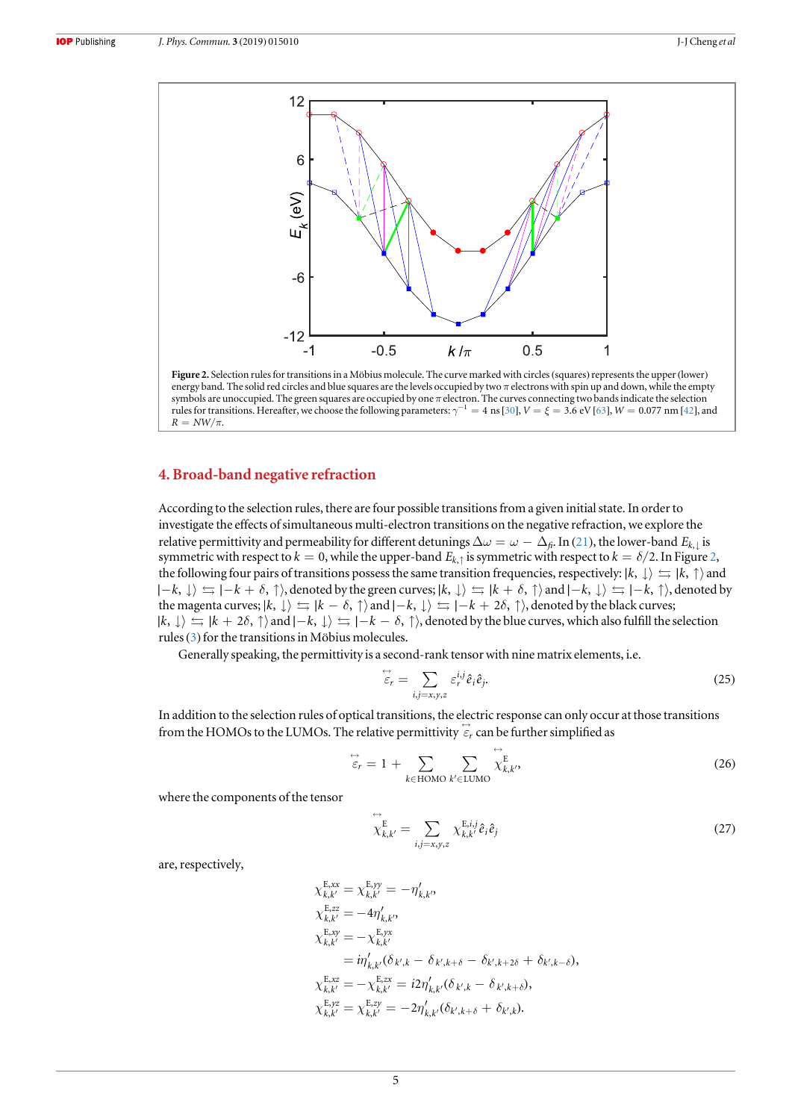<span id="page-4-0"></span>

energy band. The solid red circles and blue squares are the levels occupied by two  $\pi$  electrons with spin up and down, while the empty symbols are unoccupied. The green squares are occupied by one  $\pi$  electron. The curves connecting two bands indicate the selection rules for transitions. Hereafter, we choose the following parameters:  $\gamma^{-1} = 4$  ns [[30](#page-11-0)],  $V = \xi = 3.6$  eV [[63](#page-12-0)],  $W = 0.077$  nm [[42](#page-11-0)], and  $R = NW/\pi$ .

# 4. Broad-band negative refraction

According to the selection rules, there are four possible transitions from a given initial state. In order to investigate the effects of simultaneous multi-electron transitions on the negative refraction, we explore the relative permittivity and permeability for different detunings  $\Delta\omega = \omega - \Delta_f$ . In ([21](#page-3-0)), the lower-band  $E_{k, \downarrow}$  is symmetric with respect to  $k = 0$ , while the upper-band  $E_{k, \uparrow}$  is symmetric with respect to  $k = \delta/2$ . In Figure 2, the following four pairs of transitions possess the same transition frequencies, respectively:  $|k, \downarrow\rangle \leq |k, \uparrow\rangle$  and  $|-k, \downarrow\rangle$   $\leftrightharpoons |-k + \delta, \uparrow\rangle$ , denoted by the green curves;  $|k, \downarrow\rangle$   $\leftrightharpoons |k + \delta, \uparrow\rangle$  and  $|-k, \downarrow\rangle$   $\leftrightharpoons |-k, \uparrow\rangle$ , denoted by the magenta curves;  $|k, \downarrow\rangle \leftrightarrows |k - \delta, \uparrow\rangle$  and  $|-k, \downarrow\rangle \leftrightarrows |-k + 2\delta, \uparrow\rangle$ , denoted by the black curves;  $|k, \downarrow\rangle$   $\leftrightharpoons$   $|k + 2\delta, \uparrow\rangle$  and  $|-k, \downarrow\rangle$   $\leftrightharpoons$   $|-k - \delta, \uparrow\rangle$ , denoted by the blue curves, which also fulfill the selection rules ([3](#page-3-0)) for the transitions in Möbius molecules.

Generally speaking, the permittivity is a second-rank tensor with nine matrix elements, i.e.

$$
\stackrel{\leftrightarrow}{\varepsilon}_{r} = \sum_{i,j=x,y,z} \varepsilon_{r}^{i,j} \hat{e}_{i} \hat{e}_{j}.
$$
 (25)

In addition to the selection rules of optical transitions, the electric response can only occur at those transitions from the HOMOs to the LUMOs. The relative permittivity  $\vec{\varepsilon}_r$  can be further simplified as

$$
\stackrel{\leftrightarrow}{\varepsilon}_{r} = 1 + \sum_{k \in \text{HOMO}} \sum_{k' \in \text{LUMO}} \stackrel{\leftrightarrow}{\chi}_{k,k'}^{\text{E}} \tag{26}
$$

where the components of the tensor

$$
\overleftrightarrow{\chi}_{k,k'}^{\text{E}} = \sum_{i,j=x,y,z} \chi_{k,k'}^{\text{E},i,j} \hat{e}_i \hat{e}_j \tag{27}
$$

are, respectively,

$$
\chi_{k,k'}^{\text{E,xx}} = \chi_{k,k'}^{\text{E,yy}} = -\eta'_{k,k'},
$$
  
\n
$$
\chi_{k,k'}^{\text{E,zz}} = -4\eta'_{k,k'},
$$
  
\n
$$
\chi_{k,k'}^{\text{E,xy}} = -\chi_{k,k'}^{\text{E,yy}}
$$
  
\n
$$
= i\eta'_{k,k'}(\delta_{k',k} - \delta_{k',k+\delta} - \delta_{k',k+2\delta} + \delta_{k',k-\delta}),
$$
  
\n
$$
\chi_{k,k'}^{\text{E,xz}} = -\chi_{k,k'}^{\text{E,zx}} = i2\eta'_{k,k'}(\delta_{k',k} - \delta_{k',k+\delta}),
$$
  
\n
$$
\chi_{k,k'}^{\text{E,yz}} = \chi_{k,k'}^{\text{E,zy}} = -2\eta'_{k,k'}(\delta_{k',k+\delta} + \delta_{k',k}).
$$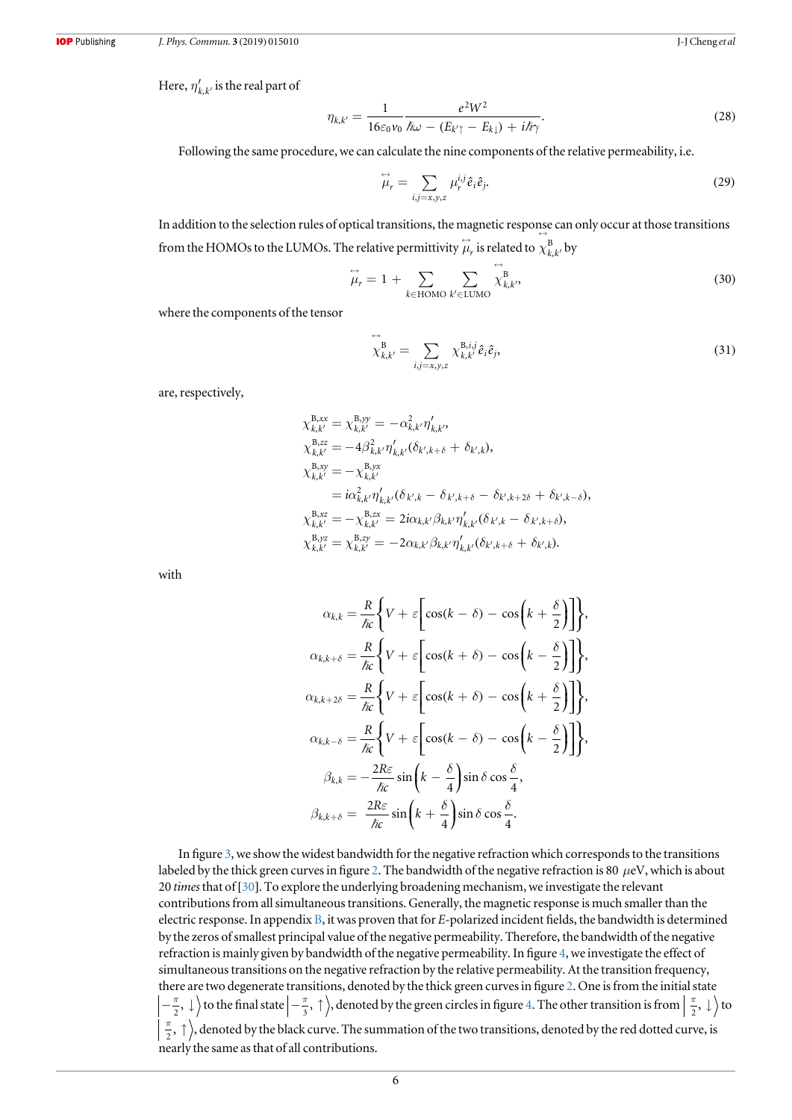Here,  $\eta'_{k,k'}$  is the real part of

$$
\eta_{k,k'} = \frac{1}{16\varepsilon_0 \nu_0} \frac{e^2 W^2}{\hbar \omega - (E_{k'} - E_{k\downarrow}) + i\hbar \gamma}.
$$
\n(28)

Following the same procedure, we can calculate the nine components of the relative permeability, i.e.

$$
\stackrel{\leftrightarrow}{\mu}_r = \sum_{i,j=x,y,z} \mu_r^{i,j} \hat{e}_i \hat{e}_j. \tag{29}
$$

In addition to the selection rules of optical transitions, the magnetic response can only occur at those transitions from the HOMOs to the LUMOs. The relative permittivity  $\stackrel{\leftrightarrow}{\mu}_{r}$  is related to  $\chi_{k,k'}^{\rm B}$  by

$$
\overleftrightarrow{\mu}_r = 1 + \sum_{k \in \text{HOMO}} \sum_{k' \in \text{LUMO}} \overleftrightarrow{\chi}_{k,k'}^B,
$$
\n(30)

where the components of the tensor

$$
\overleftrightarrow{\chi}_{k,k'}^{\text{B}} = \sum_{i,j=x,y,z} \chi_{k,k'}^{\text{B},i,j} \hat{e}_i \hat{e}_j,\tag{31}
$$

are, respectively,

$$
\chi_{k,k'}^{B,xx} = \chi_{k,k'}^{B,yy} = -\alpha_{k,k'}^2 \eta'_{k,k'},
$$
  
\n
$$
\chi_{k,k'}^{B,zz} = -4\beta_{k,k'}^2 \eta'_{k,k'} (\delta_{k',k+\delta} + \delta_{k',k}),
$$
  
\n
$$
\chi_{k,k'}^{B,xy} = -\chi_{k,k'}^{B,yx}
$$
  
\n
$$
= i\alpha_{k,k'}^2 \eta'_{k,k'} (\delta_{k',k} - \delta_{k',k+\delta} - \delta_{k',k+2\delta} + \delta_{k',k-\delta}),
$$
  
\n
$$
\chi_{k,k'}^{B,xz} = -\chi_{k,k'}^{B,zx} = 2i\alpha_{k,k'}\beta_{k,k'}\eta'_{k,k'} (\delta_{k',k} - \delta_{k',k+\delta}),
$$
  
\n
$$
\chi_{k,k'}^{B,yz} = \chi_{k,k'}^{B,zy} = -2\alpha_{k,k'}\beta_{k,k'}\eta'_{k,k'} (\delta_{k',k+\delta} + \delta_{k',k}).
$$

with

$$
\alpha_{k,k} = \frac{R}{\hbar c} \Biggl\{ V + \varepsilon \Biggl[ \cos(k - \delta) - \cos\Biggl(k + \frac{\delta}{2}\Biggr) \Biggr] \Biggr\},
$$
  
\n
$$
\alpha_{k,k+\delta} = \frac{R}{\hbar c} \Biggl\{ V + \varepsilon \Biggl[ \cos(k + \delta) - \cos\Biggl(k - \frac{\delta}{2}\Biggr) \Biggr] \Biggr\},
$$
  
\n
$$
\alpha_{k,k+2\delta} = \frac{R}{\hbar c} \Biggl\{ V + \varepsilon \Biggl[ \cos(k + \delta) - \cos\Biggl(k + \frac{\delta}{2}\Biggr) \Biggr] \Biggr\},
$$
  
\n
$$
\alpha_{k,k-\delta} = \frac{R}{\hbar c} \Biggl\{ V + \varepsilon \Biggl[ \cos(k - \delta) - \cos\Biggl(k - \frac{\delta}{2}\Biggr) \Biggr] \Biggr\},
$$
  
\n
$$
\beta_{k,k} = -\frac{2R\varepsilon}{\hbar c} \sin\Biggl(k - \frac{\delta}{4}\Biggr) \sin\delta \cos\frac{\delta}{4},
$$
  
\n
$$
\beta_{k,k+\delta} = \frac{2R\varepsilon}{\hbar c} \sin\Biggl(k + \frac{\delta}{4}\Biggr) \sin\delta \cos\frac{\delta}{4}.
$$

In figure [3,](#page-6-0) we show the widest bandwidth for the negative refraction which corresponds to the transitions labeled by the thick green curves in figure [2](#page-4-0). The bandwidth of the negative refraction is 80  $\mu$ eV, which is about 20 times that of [[30](#page-11-0)]. To explore the underlying broadening mechanism, we investigate the relevant contributions from all simultaneous transitions. Generally, the magnetic response is much smaller than the electric response. In appendix [B](#page-9-0), it was proven that for E-polarized incident fields, the bandwidth is determined by the zeros of smallest principal value of the negative permeability. Therefore, the bandwidth of the negative refraction is mainly given by bandwidth of the negative permeability. In figure [4](#page-6-0), we investigate the effect of simultaneous transitions on the negative refraction by the relative permeability. At the transition frequency, there are two degenerate transitions, denoted by the thick green curves in figure [2.](#page-4-0) One is from the initial state  $\frac{\pi}{2}$ ,  $\downarrow$  to the final state  $\left\vert -\frac{\pi}{3}, \uparrow \right\rangle$ , denoted by the green circles in figure [4.](#page-6-0) The other transition is from  $\left\vert \frac{\pi}{2}, \downarrow \right\rangle$  to  $\left(\frac{\pi}{2},\,\uparrow\right)$ , denoted by the black curve. The summation of the two transitions, denoted by the red dotted curve, is nearly the same as that of all contributions.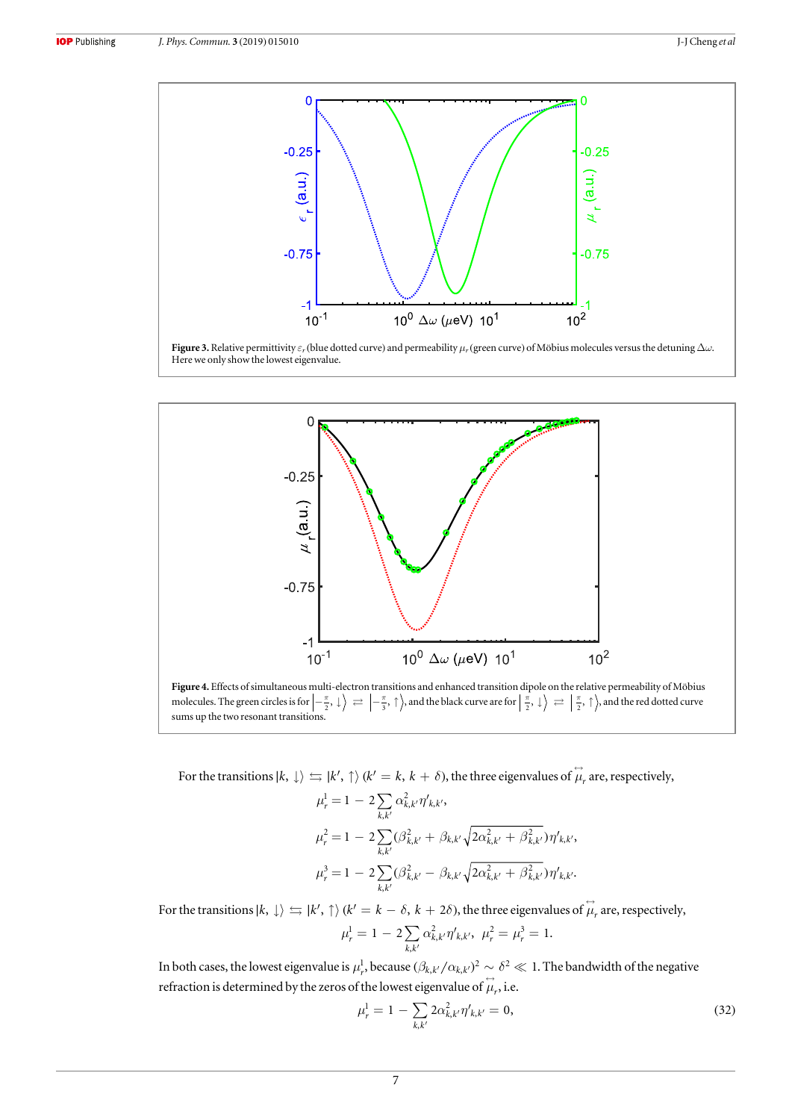<span id="page-6-0"></span>





molecules. The green circles is for  $\left|-\frac{\pi}{2},\,\downarrow\,\right\rangle\,\rightleftharpoons\,\left|-\frac{\pi}{3},\,\uparrow\,\right\rangle$ , and the black curve are for  $\left|\frac{\pi}{2},\,\downarrow\,\right\rangle\,\rightleftharpoons\,\left|\frac{\pi}{2},\,\uparrow\,\right\rangle$ , and the red dotted curve sums up the two resonant transitions.

For the transitions  $|k, \perp\rangle \leftrightarrows |k', \uparrow\rangle$   $(k' = k, k + \delta)$ , the three eigenvalues of  $\stackrel{\leftrightarrow}{\mu}_r$  are, respectively,

$$
\mu_r^1 = 1 - 2 \sum_{k,k'} \alpha_{k,k'}^2 \eta'_{k,k'},
$$
  
\n
$$
\mu_r^2 = 1 - 2 \sum_{k,k'} (\beta_{k,k'}^2 + \beta_{k,k'} \sqrt{2\alpha_{k,k'}^2 + \beta_{k,k'}^2}) \eta'_{k,k'},
$$
  
\n
$$
\mu_r^3 = 1 - 2 \sum_{k,k'} (\beta_{k,k'}^2 - \beta_{k,k'} \sqrt{2\alpha_{k,k'}^2 + \beta_{k,k'}^2}) \eta'_{k,k'}.
$$

For the transitions  $|k, \perp\rangle \leftrightarrows |k', \uparrow\rangle$   $(k' = k - \delta, k + 2\delta)$ , the three eigenvalues of  $\stackrel{\leftrightarrow}{\mu}_r$  are, respectively,

$$
\mu_r^1 = 1 - 2 \sum_{k,k'} \alpha_{k,k'}^2 \eta'_{k,k'}, \ \mu_r^2 = \mu_r^3 = 1.
$$

In both cases, the lowest eigenvalue is  $\mu_r^1$ , because  $(\beta_{k,k'}/\alpha_{k,k'})^2\sim \delta^2\ll 1$ . The bandwidth of the negative refraction is determined by the zeros of the lowest eigenvalue of  $\overset{\leftrightarrow}{\mu}_r$ , i.e.

$$
\mu_r^1 = 1 - \sum_{k,k'} 2\alpha_{k,k'}^2 \eta'_{k,k'} = 0,
$$
\n(32)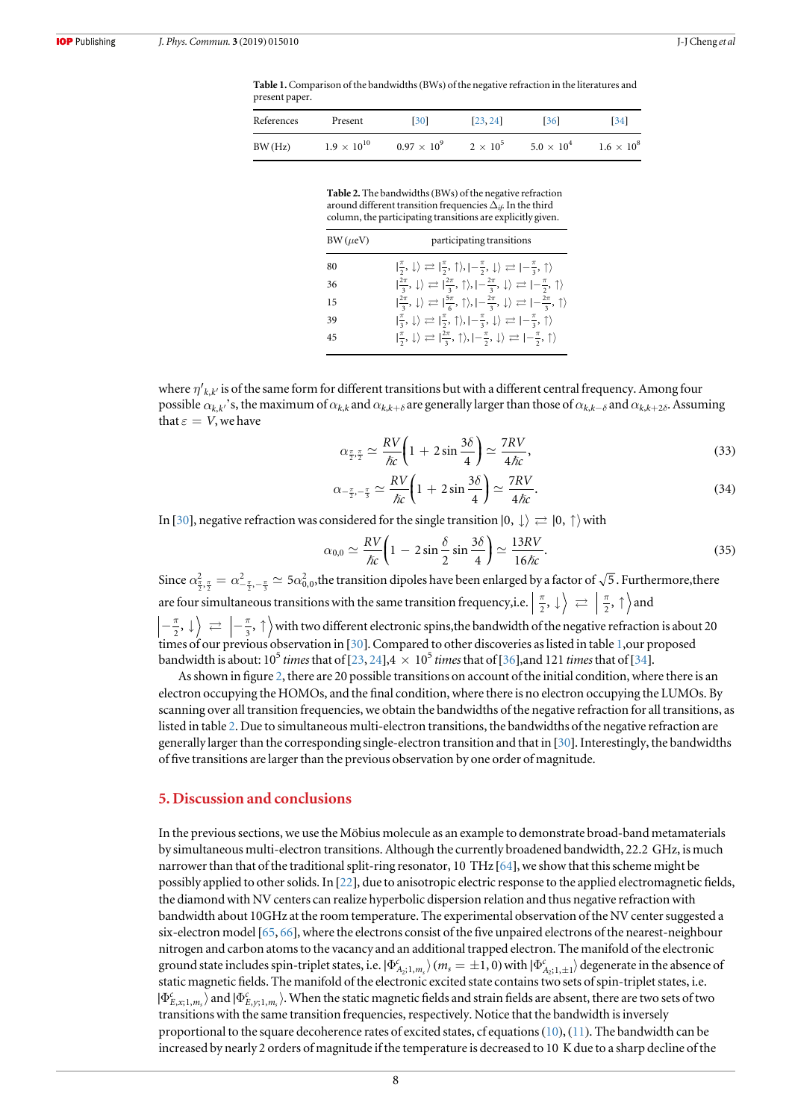<span id="page-7-0"></span>Table 1. Comparison of the bandwidths (BWs) of the negative refraction in the literatures and present paper.

| References | Present              | <b>[30]</b>          | [23, 24]        | <b>1361</b>         | [34]              |
|------------|----------------------|----------------------|-----------------|---------------------|-------------------|
| BW(Hz)     | $1.9 \times 10^{10}$ | $0.97 \times 10^{9}$ | $2 \times 10^5$ | $5.0 \times 10^{4}$ | $1.6 \times 10^8$ |

Table 2. The bandwidths(BWs) of the negative refraction around different transition frequencies  $\Delta_{if}$ . In the third column, the participating transitions are explicitly given.

| $BW(\mu eV)$ | participating transitions                                                                                                                                                     |
|--------------|-------------------------------------------------------------------------------------------------------------------------------------------------------------------------------|
| 80           | $ \frac{\pi}{2}, \downarrow\rangle \rightleftarrows  \frac{\pi}{2}, \uparrow\rangle,  -\frac{\pi}{2}, \downarrow\rangle \rightleftarrows  -\frac{\pi}{3}, \uparrow\rangle$    |
| 36           | $ \frac{2\pi}{3}, \downarrow\rangle \rightleftarrows  \frac{2\pi}{3}, \uparrow\rangle,  -\frac{2\pi}{3}, \downarrow\rangle \rightleftarrows  -\frac{\pi}{2}, \uparrow\rangle$ |
| 15           | $\ket{\frac{2\pi}{3}, \downarrow} \rightleftharpoons \ket{\frac{5\pi}{6}, \uparrow}, \ket{-\frac{2\pi}{3}, \downarrow} \rightleftharpoons \ket{-\frac{2\pi}{3}, \uparrow}$    |
| 39           | $ \frac{\pi}{3}, \downarrow\rangle \rightleftarrows  \frac{\pi}{2}, \uparrow\rangle,  -\frac{\pi}{3}, \downarrow\rangle \rightleftarrows  -\frac{\pi}{3}, \uparrow\rangle$    |
| 45           | $ \frac{\pi}{2}, \downarrow\rangle \rightleftarrows  \frac{2\pi}{3}, \uparrow\rangle,  -\frac{\pi}{2}, \downarrow\rangle \rightleftarrows  -\frac{\pi}{2}, \uparrow\rangle$   |

where  $\eta'_{k,k'}$  is of the same form for different transitions but with a different central frequency. Among four possible  $\alpha_{k,k}$ 's, the maximum of  $\alpha_{k,k}$  and  $\alpha_{k,k+δ}$  are generally larger than those of  $\alpha_{k,k-δ}$  and  $\alpha_{k,k+2δ}$ . Assuming that  $\varepsilon = V$ , we have

$$
\alpha_{\frac{\pi}{2},\frac{\pi}{2}} \simeq \frac{RV}{\hslash c} \bigg( 1 + 2 \sin \frac{3\delta}{4} \bigg) \simeq \frac{7RV}{4\hslash c},\tag{33}
$$

$$
\alpha_{-\frac{\pi}{2},-\frac{\pi}{3}} \simeq \frac{RV}{\hbar c} \bigg( 1 + 2 \sin \frac{3\delta}{4} \bigg) \simeq \frac{7RV}{4\hbar c}.\tag{34}
$$

In [[30](#page-11-0)], negative refraction was considered for the single transition  $|0, \downarrow\rangle \rightleftarrows |0, \uparrow\rangle$  with

$$
\alpha_{0,0} \simeq \frac{RV}{\hslash c} \bigg( 1 - 2 \sin \frac{\delta}{2} \sin \frac{3\delta}{4} \bigg) \simeq \frac{13RV}{16 \hslash c}.
$$
\n(35)

Since  $\alpha^2_{\frac{\pi}{2},\frac{\pi}{2}}=\alpha^2_{-\frac{\pi}{2},-\frac{\pi}{3}}\simeq 5\alpha^2_{0,0}$ , the transition dipoles have been enlarged by a factor of  $\sqrt{5}$  . Furthermore, there are four simultaneous transitions with the same transition frequency, i.e.  $\left|\frac{\pi}{2}, \downarrow\right\rangle \right|\rightleftharpoons \left|\frac{\pi}{2}, \uparrow\right\rangle$  and  $\left\{ -\frac{\pi}{2}, \downarrow\right\rangle \rightleftarrows \left\{ -\frac{\pi}{3}, \uparrow\right\rangle$  with two different electronic spins, the bandwidth of the negative refraction is about 20 times of our previous observation in [[30](#page-11-0)]. Compared to other discoveries as listed in table 1,our proposed bandwidth is about:  $10^5$  times that of [[23,](#page-11-0) [24](#page-11-0)],  $4 \times 10^5$  times that of [[36](#page-11-0)], and 121 times that of [[34](#page-11-0)].

As shown in figure [2](#page-4-0), there are 20 possible transitions on account of the initial condition, where there is an electron occupying the HOMOs, and the final condition, where there is no electron occupying the LUMOs. By scanning over all transition frequencies, we obtain the bandwidths of the negative refraction for all transitions, as listed in table 2. Due to simultaneous multi-electron transitions, the bandwidths of the negative refraction are generally larger than the corresponding single-electron transition and that in [[30](#page-11-0)]. Interestingly, the bandwidths of five transitions are larger than the previous observation by one order of magnitude.

#### 5. Discussion and conclusions

In the previous sections, we use the Möbius molecule as an example to demonstrate broad-band metamaterials by simultaneous multi-electron transitions. Although the currently broadened bandwidth, 22.2 GHz, is much narrower than that of the traditional split-ring resonator, 10 THz [[64](#page-12-0)], we show that this scheme might be possibly applied to other solids. In [[22](#page-11-0)], due to anisotropic electric response to the applied electromagnetic fields, the diamond with NV centers can realize hyperbolic dispersion relation and thus negative refraction with bandwidth about 10GHz at the room temperature. The experimental observation of the NV center suggested a six-electron model [[65,](#page-12-0) [66](#page-12-0)], where the electrons consist of the five unpaired electrons of the nearest-neighbour nitrogen and carbon atoms to the vacancy and an additional trapped electron. The manifold of the electronic ground state includes spin-triplet states, i.e.  $|\Phi_{A_2;1,m_s}^c\rangle$   $(m_s=\pm1,0)$  with  $|\Phi_{A_2;1,\pm1}^c\rangle$  degenerate in the absence of static magnetic fields. The manifold of the electronic excited state contains two sets of spin-triplet states, i.e.  $|\Phi_{E,x;1,m_s}^c\rangle$  and  $|\Phi_{E,y;1,m_s}^c\rangle$ . When the static magnetic fields and strain fields are absent, there are two sets of two transitions with the same transition frequencies, respectively. Notice that the bandwidth is inversely proportional to the square decoherence rates of excited states, cf equations ([10](#page-2-0)), ([11](#page-2-0)). The bandwidth can be increased by nearly 2 orders of magnitude if the temperature is decreased to 10 K due to a sharp decline of the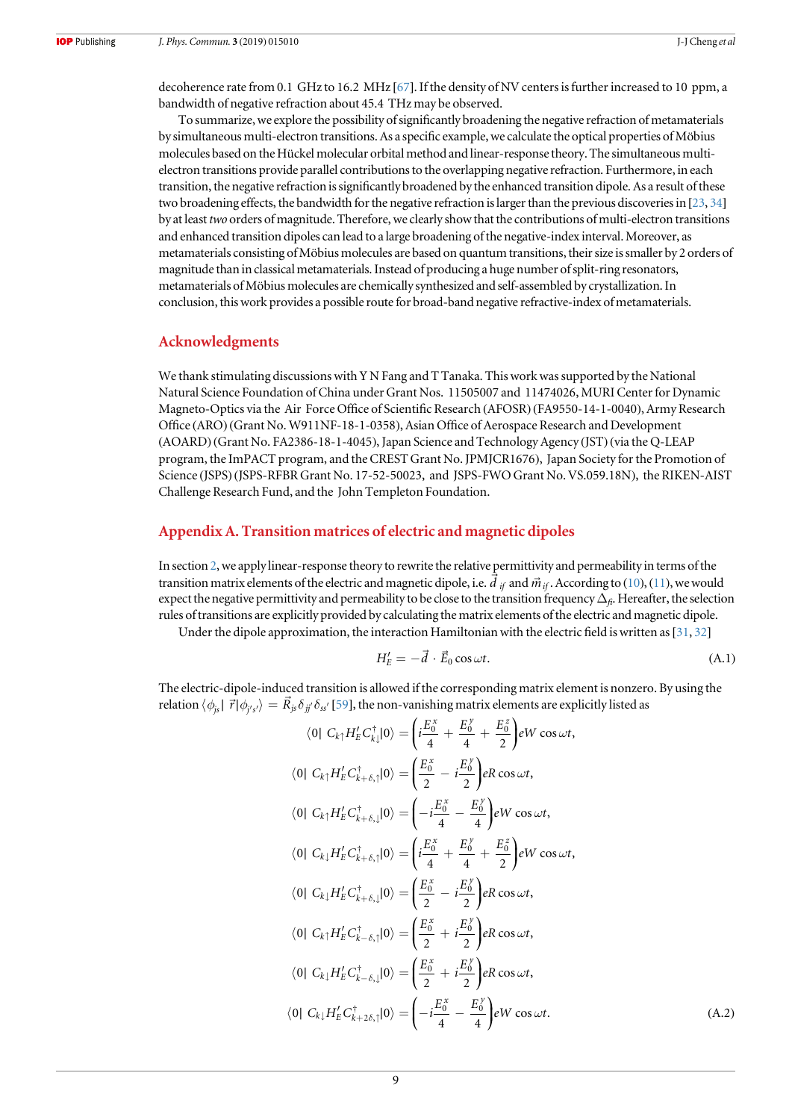<span id="page-8-0"></span>decoherence rate from 0.1 GHz to 16.2 MHz [[67](#page-12-0)]. If the density of NV centers is further increased to 10 ppm, a bandwidth of negative refraction about 45.4 THz may be observed.

To summarize, we explore the possibility of significantly broadening the negative refraction of metamaterials by simultaneous multi-electron transitions. As a specific example, we calculate the optical properties ofMöbius molecules based on the Hückel molecular orbital method and linear-response theory. The simultaneous multielectron transitions provide parallel contributions to the overlapping negative refraction. Furthermore, in each transition, the negative refraction is significantly broadened by the enhanced transition dipole. As a result of these two broadening effects, the bandwidth for the negative refraction is larger than the previous discoveries in [[23,](#page-11-0) [34](#page-11-0)] by at least two orders of magnitude. Therefore, we clearly show that the contributions of multi-electron transitions and enhanced transition dipoles can lead to a large broadening of the negative-index interval.Moreover, as metamaterials consisting ofMöbius molecules are based on quantum transitions, their size is smaller by 2 orders of magnitude than in classical metamaterials. Instead of producing a huge number of split-ring resonators, metamaterials ofMöbius molecules are chemically synthesized and self-assembled by crystallization. In conclusion, this work provides a possible route for broad-band negative refractive-index of metamaterials.

## Acknowledgments

We thank stimulating discussions with Y N Fang and T Tanaka. This work was supported by the National Natural Science Foundation of China under Grant Nos. 11505007 and 11474026, MURI Center for Dynamic Magneto-Optics via the Air Force Office of Scientific Research (AFOSR) (FA9550-14-1-0040), Army Research Office (ARO) (Grant No. W911NF-18-1-0358), Asian Office of Aerospace Research and Development (AOARD) (Grant No. FA2386-18-1-4045), Japan Science and Technology Agency (JST) (via the Q-LEAP program, the ImPACT program, and the CREST Grant No. JPMJCR1676), Japan Society for the Promotion of Science (JSPS) (JSPS-RFBR Grant No. 17-52-50023, and JSPS-FWO Grant No. VS.059.18N), the RIKEN-AIST Challenge Research Fund, and the John Templeton Foundation.

# Appendix A. Transition matrices of electric and magnetic dipoles

In section [2,](#page-1-0) we apply linear-response theory to rewrite the relative permittivity and permeability in terms of the in section  $\mathbb{Z}$ , we apply inear-response theory to rewrite the relative permittivity and permeability in terms of the transition matrix elements of the electric and magnetic dipole, i.e.  $\vec{d}_{if}$  and  $\vec{m}_{if}$ . Accor expect the negative permittivity and permeability to be close to the transition frequency  $\Delta_{fi}$ . Hereafter, the selection rules of transitions are explicitly provided by calculating the matrix elements of the electric and magnetic dipole.

Under the dipole approximation, the interaction Hamiltonian with the electric field is written as[[31](#page-11-0), [32](#page-11-0)]

$$
H'_{E} = -\vec{d} \cdot \vec{E}_0 \cos \omega t. \tag{A.1}
$$

The electric-dipole-induced transition is allowed if the corresponding matrix element is nonzero. By using the relation  $\langle \phi_{j\rm s}|\;\vec{r}|\phi_{j's'}\rangle=R_{j\rm s}\delta_{jj'}\delta_{ss'}$  [[59](#page-12-0)], the non-vanishing matrix elements are explicitly listed as

$$
\langle 0 | C_{k\uparrow} H'_{E} C_{k\downarrow}^{\dagger} | 0 \rangle = \left( i \frac{E_{0}^{x}}{4} + \frac{E_{0}^{y}}{4} + \frac{E_{0}^{z}}{2} \right) eW \cos \omega t, \n\langle 0 | C_{k\uparrow} H'_{E} C_{k+\delta,\uparrow}^{\dagger} | 0 \rangle = \left( \frac{E_{0}^{x}}{2} - i \frac{E_{0}^{y}}{2} \right) eR \cos \omega t, \n\langle 0 | C_{k\uparrow} H'_{E} C_{k+\delta,\downarrow}^{\dagger} | 0 \rangle = \left( -i \frac{E_{0}^{x}}{4} - \frac{E_{0}^{y}}{4} \right) eW \cos \omega t, \n\langle 0 | C_{k\downarrow} H'_{E} C_{k+\delta,\uparrow}^{\dagger} | 0 \rangle = \left( i \frac{E_{0}^{x}}{4} + \frac{E_{0}^{y}}{4} + \frac{E_{0}^{z}}{2} \right) eW \cos \omega t, \n\langle 0 | C_{k\downarrow} H'_{E} C_{k+\delta,\downarrow}^{\dagger} | 0 \rangle = \left( \frac{E_{0}^{x}}{2} - i \frac{E_{0}^{y}}{2} \right) eR \cos \omega t, \n\langle 0 | C_{k\uparrow} H'_{E} C_{k-\delta,\uparrow}^{\dagger} | 0 \rangle = \left( \frac{E_{0}^{x}}{2} + i \frac{E_{0}^{y}}{2} \right) eR \cos \omega t, \n\langle 0 | C_{k\downarrow} H'_{E} C_{k-\delta,\downarrow}^{\dagger} | 0 \rangle = \left( \frac{E_{0}^{x}}{2} + i \frac{E_{0}^{y}}{2} \right) eR \cos \omega t, \n\langle 0 | C_{k\downarrow} H'_{E} C_{k+\delta,\uparrow}^{\dagger} | 0 \rangle = \left( -i \frac{E_{0}^{x}}{4} - \frac{E_{0}^{y}}{4} \right) eW \cos \omega t. \tag{A.2}
$$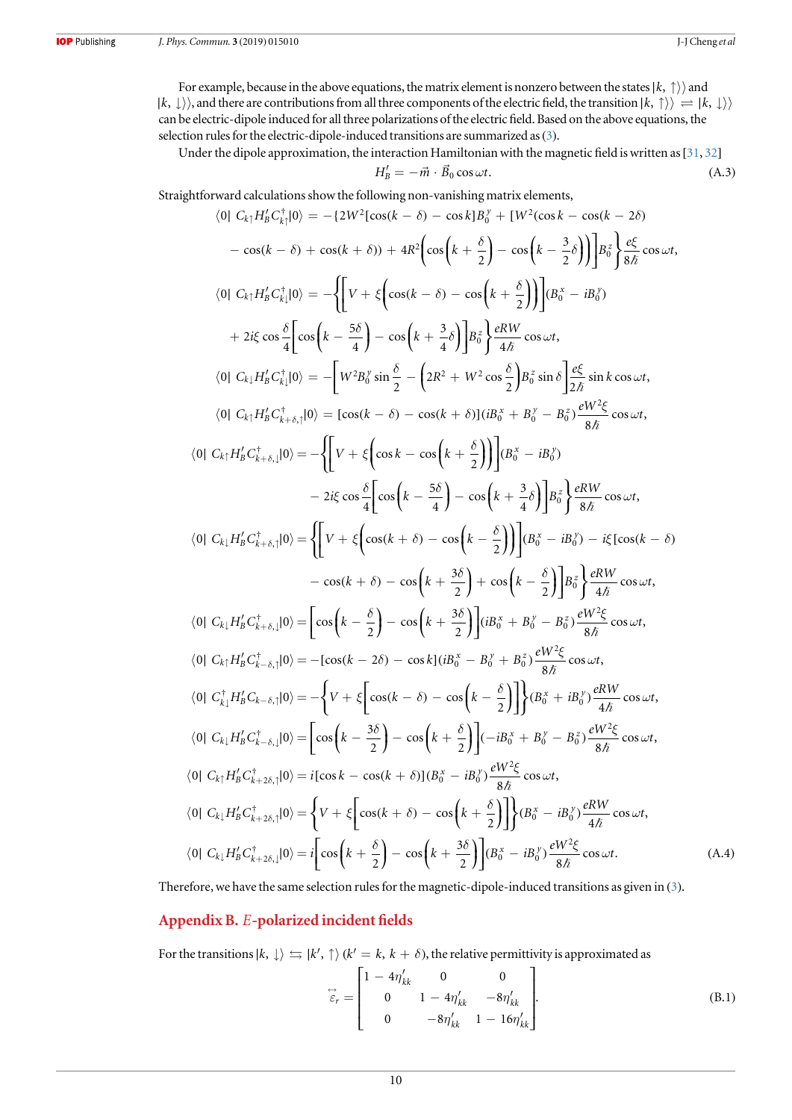<span id="page-9-0"></span>For example, because in the above equations, the matrix element is nonzero between the states∣*k*, ↑) and  $|k, \downarrow\rangle$ , and there are contributions from all three components of the electric field, the transition  $|k, \uparrow\rangle\rangle \rightleftharpoons |k, \downarrow\rangle\rangle$ can be electric-dipole induced for all three polarizations of the electric field. Based on the above equations, the selection rules for the electric-dipole-induced transitions are summarized as([3](#page-3-0)).

Under the dipole approximation, the interaction Hamiltonian with the magnetic field is written as [[31,](#page-11-0) [32](#page-11-0)]

$$
H'_{B} = -\vec{m} \cdot \vec{B}_0 \cos \omega t.
$$
 (A.3)

Straightforward calculations show the following non-vanishing matrix elements,

$$
\langle 0| C_{k_1} H'_B C_{k_1}^+ |0 \rangle = -\{2W^2[\cos(k - \delta) - \cos k]B_0^{\gamma} + [W^2(\cos k - \cos(k - 2\delta) - \cos(k - 2\delta)]\} - \cos(k - \delta) + \cos(k + \delta) + 4R^2 \Big[ \cos \Big(k + \frac{\delta}{2}\Big) - \cos \Big(k - \frac{3}{2}\delta\Big) \Big] \Big] B_0^{\frac{1}{2}} \Big] \frac{e \xi}{8\hbar} \cos \omega t,
$$
  
\n
$$
\langle 0| C_{k_1} H'_B C_{k_1}^+ |0 \rangle = -\Big\{ \Big[ V + \xi \Big[ \cos(k - \delta) - \cos\Big(k + \frac{\delta}{2}\Big) \Big] \Big] B_0^{\frac{1}{2}} \frac{e \xi}{4\hbar} \cos \omega t,
$$
  
\n
$$
\langle 0| C_{k_1} H'_B C_{k_1}^+ |0 \rangle = -\Big[ W^2 B_0^{\gamma} \sin \frac{\delta}{2} - \Big( 2R^2 + W^2 \cos \frac{\delta}{2} \Big) B_0^{\frac{1}{2}} \sin \delta \Big] \frac{e \xi}{2\hbar} \sin k \cos \omega t,
$$
  
\n
$$
\langle 0| C_{k_1} H'_B C_{k_1 + \delta, 1}^+ |0 \rangle = [\cos(k - \delta) - \cos(k + \delta)](iB_0^{\gamma} + B_0^{\gamma} - B_0^{\gamma}) \frac{e W^2 \xi}{8\hbar} \cos \omega t,
$$
  
\n
$$
\langle 0| C_{k_1} H'_B C_{k_1 + \delta, 1}^+ |0 \rangle = -\Big\{ \Big[ V + \xi \Big[ \cos k - \cos \Big(k + \frac{\delta}{2}\Big) \Big] \Big] (B_0^{\gamma} - iB_0^{\gamma}) - 2i \xi \cos \frac{\delta}{2} \Big[ \cos \Big(k - \frac{5\delta}{4}\Big) - \cos \Big(k + \frac{3}{4}\delta \Big) \Big] B_0^{\frac{1}{2}} \Big\} \frac{e R W}{8\hbar} \cos \omega t,
$$
  
\n
$$
\langle 0| C_{k_1} H'_B C_{k_1 + \delta, 1}^+ |0 \rangle = \Big\{ \Big[ V + \xi
$$

Therefore, we have the same selection rules for the magnetic-dipole-induced transitions as given in ([3](#page-3-0)).

# Appendix B. *E*-polarized incident fields

For the transitions  $|k,\downarrow\rangle\leftrightarrows|k',\uparrow\rangle$   $(k'=k,\,k+\delta),$  the relative permittivity is approximated as

$$
\overrightarrow{\varepsilon}_{r} = \begin{bmatrix} 1 - 4\eta'_{kk} & 0 & 0 \\ 0 & 1 - 4\eta'_{kk} & -8\eta'_{kk} \\ 0 & -8\eta'_{kk} & 1 - 16\eta'_{kk} \end{bmatrix}.
$$
 (B.1)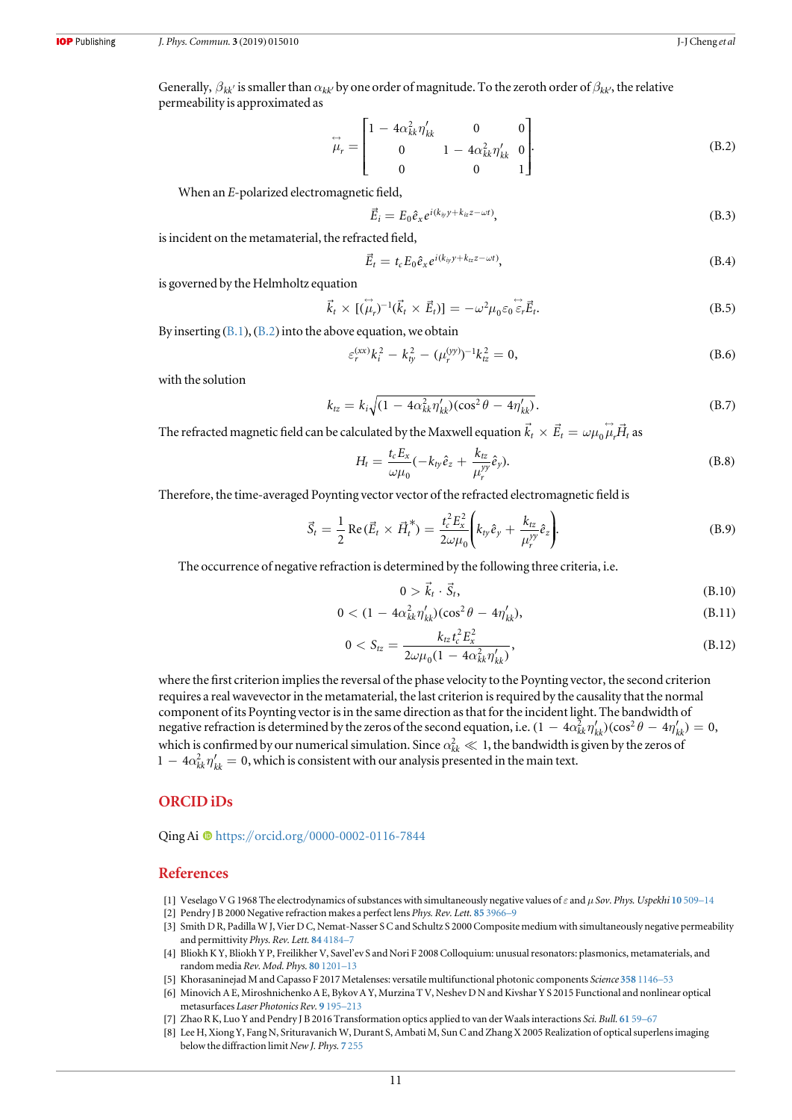<span id="page-10-0"></span>Generally,  $\beta_{kk'}$  is smaller than  $\alpha_{kk'}$  by one order of magnitude. To the zeroth order of  $\beta_{kk'}$ , the relative permeability is approximated as

$$
\overrightarrow{\mu}_{r} = \begin{bmatrix} 1 - 4\alpha_{kk}^{2} \eta'_{kk} & 0 & 0\\ 0 & 1 - 4\alpha_{kk}^{2} \eta'_{kk} & 0\\ 0 & 0 & 1 \end{bmatrix}.
$$
 (B.2)

When an E-polarized electromagnetic field,

$$
\vec{E}_i = E_0 \hat{e}_x e^{i(k_{iy}y + k_{iz}z - \omega t)},
$$
\n(B.3)

is incident on the metamaterial, the refracted field,

$$
\vec{E}_t = t_c E_0 \hat{e}_x e^{i(k_{iy}y + k_{iz}z - \omega t)},
$$
\n(B.4)

is governed by the Helmholtz equation

$$
\vec{k}_t \times [(\stackrel{\leftrightarrow}{\mu}_r)^{-1}(\vec{k}_t \times \vec{E}_t)] = -\omega^2 \mu_0 \varepsilon_0 \stackrel{\leftrightarrow}{\varepsilon}_r \vec{E}_t.
$$
 (B.5)

By inserting  $(B.1)$  $(B.1)$  $(B.1)$ ,  $(B.2)$  into the above equation, we obtain

$$
\varepsilon_r^{(xx)}k_i^2 - k_{ty}^2 - (\mu_r^{(yy)})^{-1}k_{tz}^2 = 0,
$$
\n(B.6)

with the solution

$$
k_{tz} = k_i \sqrt{(1 - 4\alpha_{kk}^2 \eta'_{kk})(\cos^2 \theta - 4\eta'_{kk})}.
$$
 (B.7)

The refracted magnetic field can be calculated by the Maxwell equation  $\vec{k}_t \times \vec{E}_t = \omega \mu_0 \vec{\mu}_r \vec{H}_t$  as

$$
H_t = \frac{t_c E_x}{\omega \mu_0} (-k_{ty} \hat{e}_z + \frac{k_{tz}}{\mu_r^{\gamma \gamma}} \hat{e}_y).
$$
 (B.8)

Therefore, the time-averaged Poynting vector vector of the refracted electromagnetic field is

$$
\vec{S}_t = \frac{1}{2} \operatorname{Re} (\vec{E}_t \times \vec{H}_t^*) = \frac{t_c^2 E_x^2}{2\omega\mu_0} \left( k_{ty} \hat{e}_y + \frac{k_{tz}}{\mu_r^{yy}} \hat{e}_z \right).
$$
 (B.9)

The occurrence of negative refraction is determined by the following three criteria, i.e.

$$
0 > \vec{k}_t \cdot \vec{S}_t,\tag{B.10}
$$

$$
0 < (1 - 4\alpha_{kk}^2 \eta_{kk}')(cos^2 \theta - 4\eta_{kk}'), \tag{B.11}
$$

$$
0 < S_{tz} = \frac{k_{tz} t_c^2 E_x^2}{2\omega\mu_0 (1 - 4\alpha_{kk}^2 \eta'_{kk})},\tag{B.12}
$$

where the first criterion implies the reversal of the phase velocity to the Poynting vector, the second criterion requires a real wavevector in the metamaterial, the last criterion is required by the causality that the normal component of its Poynting vector is in the same direction as that for the incident light. The bandwidth of negative refraction is determined by the zeros of the second equation, i.e.  $(1 - 4\alpha_{kk}^2 \eta'_{kk}) (\cos^2 \theta - 4\eta'_{kk}) = 0$ , which is confirmed by our numerical simulation. Since  $\alpha_{kk}^2 \ll 1$ , the bandwidth is given by the zeros of  $1 - 4\alpha_{kk}^2 \eta'_{kk} = 0$ , which is consistent with our analysis presented in the main text.

# ORCID iDs

Q[i](https://orcid.org/0000-0002-0116-7844)ng Ai  $\bullet$  [https:](https://orcid.org/0000-0002-0116-7844)//orcid.org/[0000-0002-0116-7844](https://orcid.org/0000-0002-0116-7844)

# References

- [1] Veselago V G 1968 The electrodynamics of substances with simultaneously negative values of  $\varepsilon$  and  $\mu$  Sov. Phys. Uspekhi 10 [509](https://doi.org/10.1070/PU1968v010n04ABEH003699)-14
- [2] Pendry J B 2000 Negative refraction makes a perfect lens Phys. Rev. Lett. 85 [3966](https://doi.org/10.1103/PhysRevLett.85.3966)-9
- [3] Smith D R, Padilla W J, Vier D C, Nemat-Nasser S C and Schultz S 2000 Composite medium with simultaneously negative permeability and permittivity Phys. Rev. Lett. 84 [4184](https://doi.org/10.1103/PhysRevLett.84.4184)-7
- [4] Bliokh K Y, Bliokh Y P, Freilikher V, Savel'ev S and Nori F 2008 Colloquium: unusual resonators: plasmonics, metamaterials, and random media Rev. Mod. Phys. 80 [1201](https://doi.org/10.1103/RevModPhys.80.1201)–13
- [5] Khorasaninejad M and Capasso F 2017 Metalenses: versatile multifunctional photonic components Science 358 [1146](https://doi.org/10.1126/science.aam8100)–53
- [6] Minovich A E, Miroshnichenko A E, Bykov A Y, Murzina T V, Neshev D N and Kivshar Y S 2015 Functional and nonlinear optical metasurfaces Laser Photonics Rev. 9 [195](https://doi.org/10.1002/lpor.201400402)–213
- [7] Zhao R K, Luo Y and Pendry J B 2016 Transformation optics applied to van der Waals interactions Sci. Bull. [61](https://doi.org/10.1007/s11434-015-0958-x) 59–67
- [8] Lee H, Xiong Y, Fang N, Srituravanich W, Durant S, Ambati M, Sun C and Zhang X 2005 Realization of optical superlens imaging below the diffraction limit New J. Phys. 7 [255](https://doi.org/10.1088/1367-2630/7/1/255)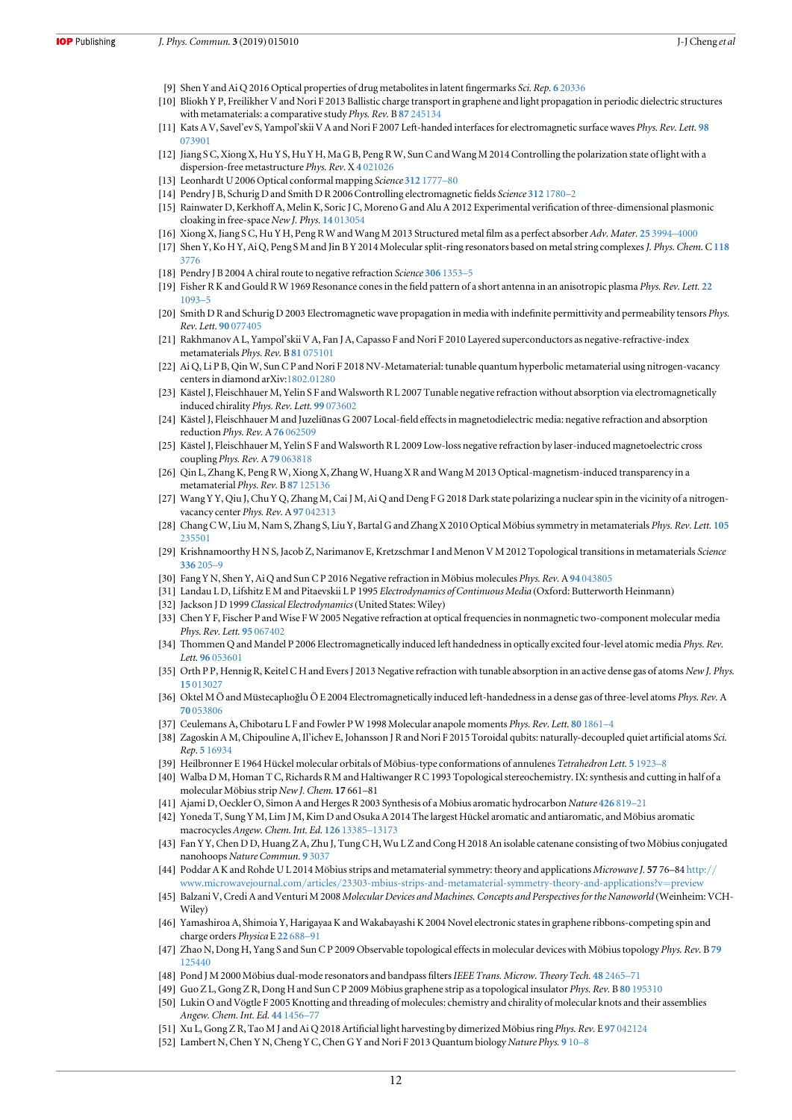- <span id="page-11-0"></span>[9] Shen Y and Ai Q 2016 Optical properties of drug metabolites in latent fingermarks Sci. Rep. 6 [20336](https://doi.org/10.1038/srep20336)
- [10] Bliokh Y P, Freilikher V and Nori F 2013 Ballistic charge transport in graphene and light propagation in periodic dielectric structures with metamaterials: a comparative study Phys. Rev. B 87 [245134](https://doi.org/10.1103/PhysRevB.87.245134)
- [11] Kats A V, Savel'ev S, Yampol'skii V A and Nori F 2007 Left-handed interfaces for electromagnetic surface waves Phys. Rev. Lett. [98](https://doi.org/10.1103/PhysRevLett.98.073901) [073901](https://doi.org/10.1103/PhysRevLett.98.073901)
- [12] Jiang S C, Xiong X, Hu Y S, Hu Y H, Ma G B, Peng R W, Sun C and Wang M 2014 Controlling the polarization state of light with a dispersion-free metastructure Phys. Rev.X 4 [021026](https://doi.org/10.1103/PhysRevX.4.021026)
- [13] Leonhardt U 2006 Optical conformal mapping Science 312 [1777](https://doi.org/10.1126/science.1126493)–80
- [14] Pendry J B, Schurig D and Smith D R 2006 Controlling electromagnetic fields Science 312 [1780](https://doi.org/10.1126/science.1125907)–2
- [15] Rainwater D, Kerkhoff A, Melin K, Soric J C, Moreno G and Alu A 2012 Experimental verification of three-dimensional plasmonic cloaking in free-space New J. Phys. 14 [013054](https://doi.org/10.1088/1367-2630/14/1/013054)
- [16] Xiong X, Jiang S C, Hu Y H, Peng R W and Wang M 2013 Structured metal film as a perfect absorber Adv. Mater. 25 [3994](https://doi.org/10.1002/adma.201300223)–[4000](https://doi.org/10.1002/adma.201300223)
- [17] Shen Y, Ko H Y, Ai Q, Peng S M and Jin B Y 2014 Molecular split-ring resonators based on metal string complexesJ. Phys. Chem.C[118](https://doi.org/10.1021/jp410619d) [3776](https://doi.org/10.1021/jp410619d)
- [18] Pendry J B 2004 A chiral route to negative refraction Science 306 [1353](https://doi.org/10.1126/science.1104467)-5
- [19] Fisher R K and Gould R W 1969 Resonance cones in the field pattern of a short antenna in an anisotropic plasma Phys. Rev. Lett. [22](https://doi.org/10.1103/PhysRevLett.22.1093) [1093](https://doi.org/10.1103/PhysRevLett.22.1093)–5
- [20] Smith D R and Schurig D 2003 Electromagnetic wave propagation in media with indefinite permittivity and permeability tensors Phys. Rev. Lett. 90 [077405](https://doi.org/10.1103/PhysRevLett.90.077405)
- [21] Rakhmanov A L, Yampol'skii V A, Fan J A, Capasso F and Nori F 2010 Layered superconductors as negative-refractive-index metamaterials Phys. Rev. B 81 [075101](https://doi.org/10.1103/PhysRevB.81.075101)
- [22] Ai Q, Li P B, Qin W, Sun C P and Nori F 2018 NV-Metamaterial: tunable quantum hyperbolic metamaterial using nitrogen-vacancy centers in diamond arXiv:[1802.01280](http://arxiv.org/abs/1802.01280)
- [23] Kästel J, Fleischhauer M, Yelin S F and Walsworth R L 2007 Tunable negative refraction without absorption via electromagnetically induced chirality Phys. Rev. Lett. 99 [073602](https://doi.org/10.1103/PhysRevLett.99.073602)
- [24] Kästel J, Fleischhauer M and Juzeliūnas G 2007 Local-field effects in magnetodielectric media: negative refraction and absorption reduction Phys. Rev. A 76 [062509](https://doi.org/10.1103/PhysRevA.76.062509)
- [25] Kästel J, Fleischhauer M, Yelin S F and Walsworth R L 2009 Low-loss negative refraction by laser-induced magnetoelectric cross coupling Phys. Rev. A 79 [063818](https://doi.org/10.1103/PhysRevA.79.063818)
- [26] Qin L, Zhang K, Peng R W, Xiong X, Zhang W, Huang X R and Wang M 2013 Optical-magnetism-induced transparency in a metamaterial Phys. Rev. B 87 [125136](https://doi.org/10.1103/PhysRevB.87.125136)
- [27] Wang Y Y, Qiu J, Chu Y Q, Zhang M, Cai J M, Ai Q and Deng F G 2018 Dark state polarizing a nuclear spin in the vicinity of a nitrogenvacancy center *Phys. Rev.* A 97 [042313](https://doi.org/10.1103/PhysRevA.97.042313)
- [28] Chang C W, Liu M, Nam S, Zhang S, Liu Y, Bartal G and Zhang X 2010 Optical Möbius symmetry in metamaterials Phys. Rev. Lett. [105](https://doi.org/10.1103/PhysRevLett.105.235501) [235501](https://doi.org/10.1103/PhysRevLett.105.235501)
- [29] Krishnamoorthy HNS, Jacob Z, Narimanov E, Kretzschmar I and Menon VM 2012 Topological transitions in metamaterials Science [336](https://doi.org/10.1126/science.1219171) 205–9
- [30] Fang Y N, Shen Y, Ai Q and Sun C P 2016 Negative refraction in Möbius molecules Phys. Rev. A 94 [043805](https://doi.org/10.1103/PhysRevA.94.043805)
- [31] Landau L D, Lifshitz E M and Pitaevskii L P 1995 Electrodynamics of Continuous Media (Oxford: Butterworth Heinmann)
- [32] Jackson J D 1999 Classical Electrodynamics (United States: Wiley)
- [33] Chen Y F, Fischer P and Wise F W 2005 Negative refraction at optical frequencies in nonmagnetic two-component molecular media Phys. Rev. Lett. 95 [067402](https://doi.org/10.1103/PhysRevLett.95.067402)
- [34] Thommen Q and Mandel P 2006 Electromagnetically induced left handedness in optically excited four-level atomic media Phys. Rev. Lett. 96 [053601](https://doi.org/10.1103/PhysRevLett.96.053601)
- [35] Orth P P, Hennig R, Keitel C H and Evers J 2013 Negative refraction with tunable absorption in an active dense gas of atoms New J. Phys. 15 [013027](https://doi.org/10.1088/1367-2630/15/1/013027)
- [36] Oktel M Ö and Müstecaplıoğlu Ö E 2004 Electromagnetically induced left-handedness in a dense gas of three-level atoms Phys. Rev. A 70 [053806](https://doi.org/10.1103/PhysRevA.70.053806)
- [37] Ceulemans A, Chibotaru L F and Fowler P W 1998 Molecular anapole moments Phys. Rev. Lett. 80 [1861](https://doi.org/10.1103/PhysRevLett.80.1861)-4
- [38] Zagoskin A M, Chipouline A, Il'ichev E, Johansson J R and Nori F 2015 Toroidal qubits: naturally-decoupled quiet artificial atoms Sci. Rep. 5 [16934](https://doi.org/10.1038/srep16934)
- [39] Heilbronner E 1964 Hückel molecular orbitals of Möbius-type conformations of annulenes Tetrahedron Lett. 5 [1923](https://doi.org/10.1016/S0040-4039(01)89474-0)–8
- [40] Walba D M, Homan T C, Richards R M and Haltiwanger R C 1993 Topological stereochemistry. IX: synthesis and cutting in half of a molecular Möbius strip New J. Chem. 17 661–81
- [41] Ajami D, Oeckler O, Simon A and Herges R 2003 Synthesis of a Möbius aromatic hydrocarbon Nature [426](https://doi.org/10.1038/nature02224) 819–21
- [42] Yoneda T, Sung Y M, Lim J M, Kim D and Osuka A 2014 The largest Hückel aromatic and antiaromatic, and Möbius aromatic macrocycles Angew. Chem. Int. Ed. 126 [13385](https://doi.org/10.1002/ange.201408506)–13173
- [43] Fan Y Y, Chen D D, Huang Z A, Zhu J, Tung C H, Wu L Z and Cong H 2018 An isolable catenane consisting of two Möbius conjugated nanohoops Nature Commun. 9 [3037](https://doi.org/10.1038/s41467-018-05498-6)
- [44] Poddar A K and Rohde U L 2014 Möbius strips and metamaterial symmetry: theory and applications Microwave J. 57 76–84 [http:](http://www.microwavejournal.com/articles/23303-mbius-strips-and-metamaterial-symmetry-theory-and-applications?v=preview)// www.microwavejournal.com/articles/[23303-mbius-strips-and-metamaterial-symmetry-theory-and-applications?v](http://www.microwavejournal.com/articles/23303-mbius-strips-and-metamaterial-symmetry-theory-and-applications?v=preview)=preview
- [45] Balzani V, Credi A and Venturi M 2008 Molecular Devices and Machines. Concepts and Perspectives for the Nanoworld (Weinheim: VCH-Wiley)
- [46] Yamashiroa A, Shimoia Y, Harigayaa K and Wakabayashi K 2004 Novel electronic states in graphene ribbons-competing spin and charge orders Physica E 22 [688](https://doi.org/10.1016/j.physe.2003.12.100)–91
- [47] Zhao N, Dong H, Yang S and Sun C P 2009 Observable topological effects in molecular devices with Möbius topology Phys. Rev. B [79](https://doi.org/10.1103/PhysRevB.79.125440) [125440](https://doi.org/10.1103/PhysRevB.79.125440)
- [48] Pond J M 2000 Möbius dual-mode resonators and bandpass filters IEEE Trans. Microw. Theory Tech. 48 [2465](https://doi.org/10.1109/22.898999)–71
- [49] Guo Z L, Gong Z R, Dong H and Sun C P 2009 Möbius graphene strip as a topological insulator Phys. Rev. B 80 [195310](https://doi.org/10.1103/PhysRevB.80.195310)
- [50] Lukin O and Vögtle F 2005 Knotting and threading of molecules: chemistry and chirality of molecular knots and their assemblies Angew. Chem. Int. Ed. 44 [1456](https://doi.org/10.1002/anie.200460312)–77
- [51] Xu L, Gong Z R, Tao M J and Ai Q 2018 Artificial light harvesting by dimerized Möbius ring Phys. Rev. E 97 [042124](https://doi.org/10.1103/PhysRevE.97.042124)
- [52] Lambert N, Chen Y N, Cheng Y C, Chen G Y and Nori F 2013 Quantum biology Nature Phys. 9 [10](https://doi.org/10.1038/nphys2474)–8